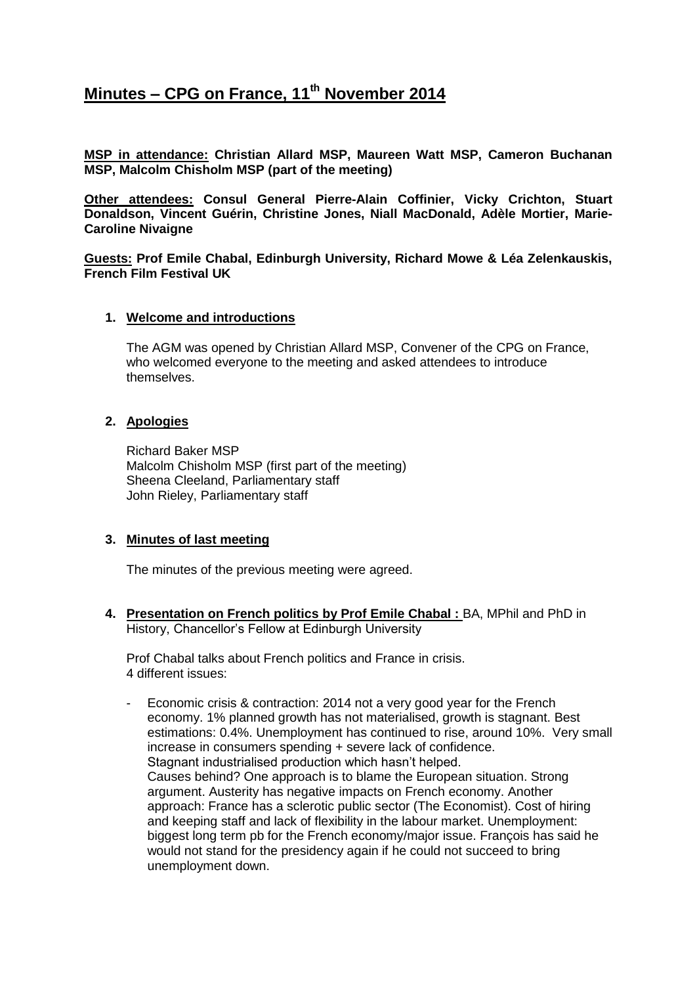# **Minutes – CPG on France, 11th November 2014**

**MSP in attendance: Christian Allard MSP, Maureen Watt MSP, Cameron Buchanan MSP, Malcolm Chisholm MSP (part of the meeting)**

**Other attendees: Consul General Pierre-Alain Coffinier, Vicky Crichton, Stuart Donaldson, Vincent Guérin, Christine Jones, Niall MacDonald, Adèle Mortier, Marie-Caroline Nivaigne**

**Guests: Prof Emile Chabal, Edinburgh University, Richard Mowe & Léa Zelenkauskis, French Film Festival UK**

## **1. Welcome and introductions**

The AGM was opened by Christian Allard MSP, Convener of the CPG on France, who welcomed everyone to the meeting and asked attendees to introduce themselves.

#### **2. Apologies**

Richard Baker MSP Malcolm Chisholm MSP (first part of the meeting) Sheena Cleeland, Parliamentary staff John Rieley, Parliamentary staff

## **3. Minutes of last meeting**

The minutes of the previous meeting were agreed.

**4. Presentation on French politics by Prof Emile Chabal :** BA, MPhil and PhD in History, Chancellor's Fellow at Edinburgh University

Prof Chabal talks about French politics and France in crisis. 4 different issues:

- Economic crisis & contraction: 2014 not a very good year for the French economy. 1% planned growth has not materialised, growth is stagnant. Best estimations: 0.4%. Unemployment has continued to rise, around 10%. Very small increase in consumers spending + severe lack of confidence. Stagnant industrialised production which hasn't helped. Causes behind? One approach is to blame the European situation. Strong argument. Austerity has negative impacts on French economy. Another approach: France has a sclerotic public sector (The Economist). Cost of hiring and keeping staff and lack of flexibility in the labour market. Unemployment: biggest long term pb for the French economy/major issue. François has said he would not stand for the presidency again if he could not succeed to bring unemployment down.